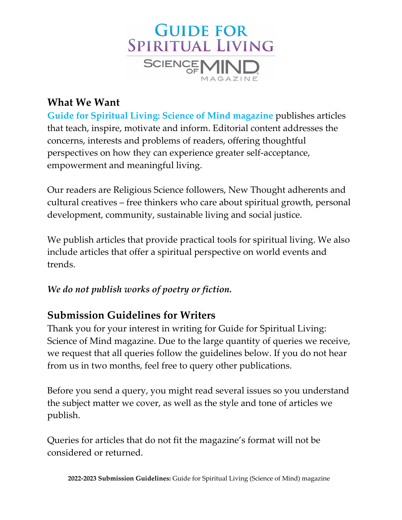

## **What We Want**

**Guide for Spiritual Living: Science of Mind magazine** publishes articles that teach, inspire, motivate and inform. Editorial content addresses the concerns, interests and problems of readers, offering thoughtful perspectives on how they can experience greater self‐acceptance, empowerment and meaningful living.

Our readers are Religious Science followers, New Thought adherents and cultural creatives – free thinkers who care about spiritual growth, personal development, community, sustainable living and social justice.

We publish articles that provide practical tools for spiritual living. We also include articles that offer a spiritual perspective on world events and trends.

### *We do not publish works of poetry or fiction.*

## **Submission Guidelines for Writers**

Thank you for your interest in writing for Guide for Spiritual Living: Science of Mind magazine. Due to the large quantity of queries we receive, we request that all queries follow the guidelines below. If you do not hear from us in two months, feel free to query other publications.

Before you send a query, you might read several issues so you understand the subject matter we cover, as well as the style and tone of articles we publish.

Queries for articles that do not fit the magazine's format will not be considered or returned.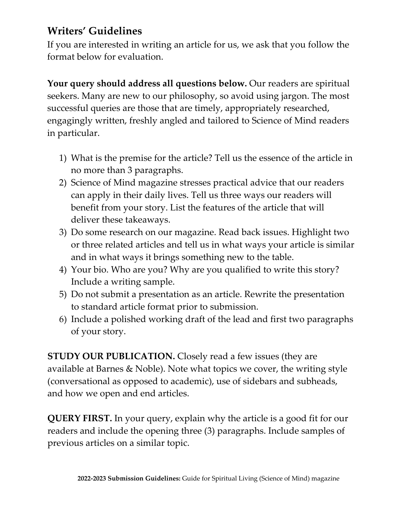# **Writers' Guidelines**

If you are interested in writing an article for us, we ask that you follow the format below for evaluation.

**Your query should address all questions below.** Our readers are spiritual seekers. Many are new to our philosophy, so avoid using jargon. The most successful queries are those that are timely, appropriately researched, engagingly written, freshly angled and tailored to Science of Mind readers in particular.

- 1) What is the premise for the article? Tell us the essence of the article in no more than 3 paragraphs.
- 2) Science of Mind magazine stresses practical advice that our readers can apply in their daily lives. Tell us three ways our readers will benefit from your story. List the features of the article that will deliver these takeaways.
- 3) Do some research on our magazine. Read back issues. Highlight two or three related articles and tell us in what ways your article is similar and in what ways it brings something new to the table.
- 4) Your bio. Who are you? Why are you qualified to write this story? Include a writing sample.
- 5) Do not submit a presentation as an article. Rewrite the presentation to standard article format prior to submission.
- 6) Include a polished working draft of the lead and first two paragraphs of your story.

**STUDY OUR PUBLICATION.** Closely read a few issues (they are available at Barnes & Noble). Note what topics we cover, the writing style (conversational as opposed to academic), use of sidebars and subheads, and how we open and end articles.

**QUERY FIRST.** In your query, explain why the article is a good fit for our readers and include the opening three (3) paragraphs. Include samples of previous articles on a similar topic.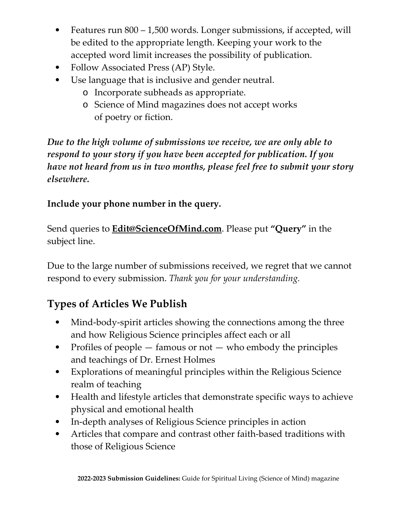- Features run 800 1,500 words. Longer submissions, if accepted, will be edited to the appropriate length. Keeping your work to the accepted word limit increases the possibility of publication.
- Follow Associated Press (AP) Style.
- Use language that is inclusive and gender neutral.
	- o Incorporate subheads as appropriate.
	- o Science of Mind magazines does not accept works of poetry or fiction.

*Due to the high volume of submissions we receive, we are only able to respond to your story if you have been accepted for publication. If you have not heard from us in two months, please feel free to submit your story elsewhere.*

## **Include your phone number in the query.**

Send queries to **Edit@ScienceOfMind.com**. Please put **"Query"** in the subject line.

Due to the large number of submissions received, we regret that we cannot respond to every submission. *Thank you for your understanding.*

# **Types of Articles We Publish**

- Mind-body-spirit articles showing the connections among the three and how Religious Science principles affect each or all
- Profiles of people  $-$  famous or not  $-$  who embody the principles and teachings of Dr. Ernest Holmes
- Explorations of meaningful principles within the Religious Science realm of teaching
- Health and lifestyle articles that demonstrate specific ways to achieve physical and emotional health
- In-depth analyses of Religious Science principles in action
- Articles that compare and contrast other faith-based traditions with those of Religious Science